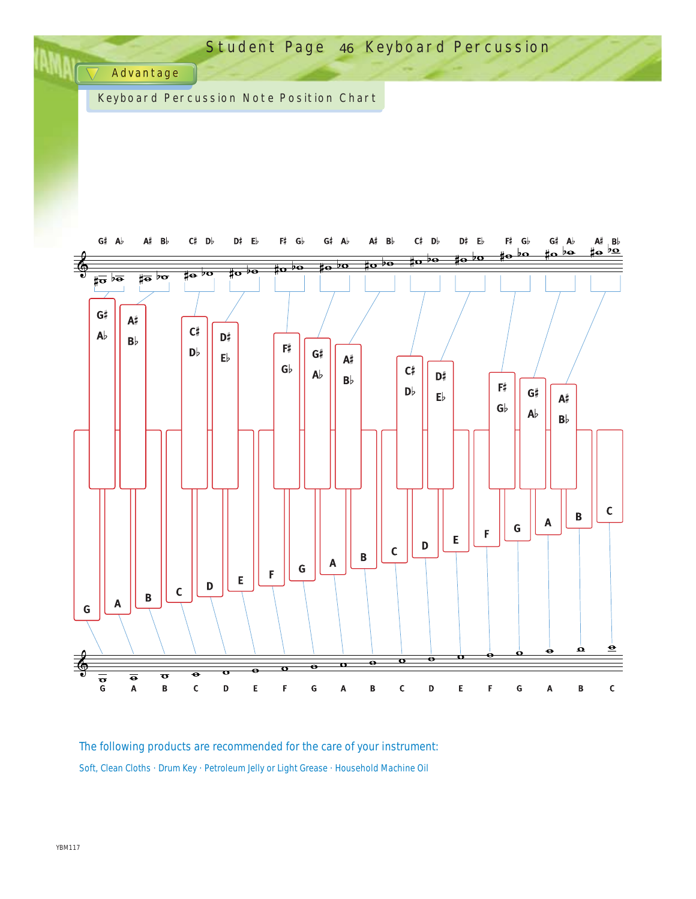

The following products are recommended for the care of your instrument: Soft, Clean Cloths · Drum Key · Petroleum Jelly or Light Grease · Household Machine Oil